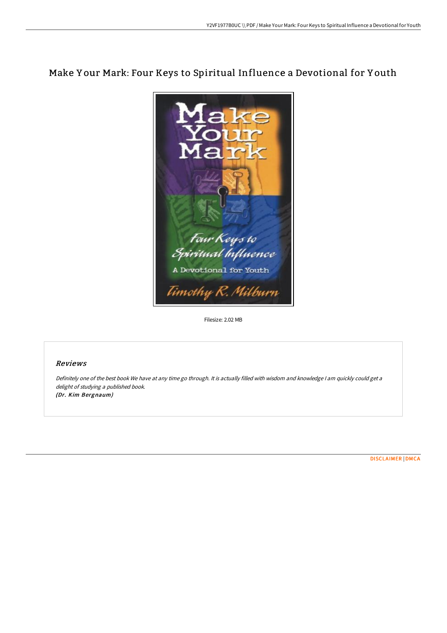# Make Y our Mark: Four Keys to Spiritual Influence a Devotional for Y outh



Filesize: 2.02 MB

# Reviews

Definitely one of the best book We have at any time go through. It is actually filled with wisdom and knowledge <sup>I</sup> am quickly could get <sup>a</sup> delight of studying <sup>a</sup> published book. (Dr. Kim Bergnaum)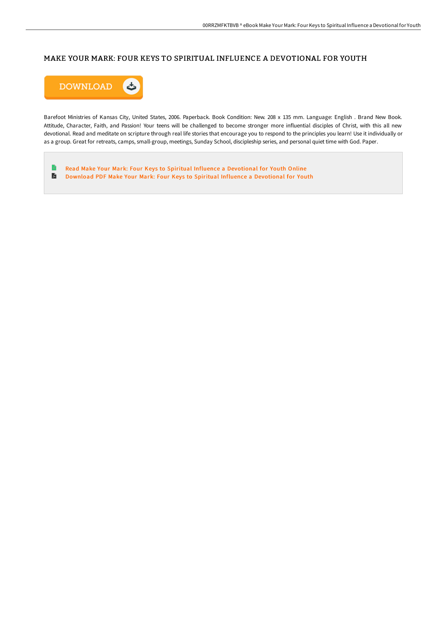# MAKE YOUR MARK: FOUR KEYS TO SPIRITUAL INFLUENCE A DEVOTIONAL FOR YOUTH



Barefoot Ministries of Kansas City, United States, 2006. Paperback. Book Condition: New. 208 x 135 mm. Language: English . Brand New Book. Attitude, Character, Faith, and Passion! Your teens will be challenged to become stronger more influential disciples of Christ, with this all new devotional. Read and meditate on scripture through real life stories that encourage you to respond to the principles you learn! Use it individually or as a group. Great for retreats, camps, small-group, meetings, Sunday School, discipleship series, and personal quiet time with God. Paper.

 $\blacksquare$ Read Make Your Mark: Four Keys to Spiritual Influence a [Devotional](http://techno-pub.tech/make-your-mark-four-keys-to-spiritual-influence-.html) for Youth Online Download PDF Make Your Mark: Four Keys to Spiritual Influence a [Devotional](http://techno-pub.tech/make-your-mark-four-keys-to-spiritual-influence-.html) for Youth